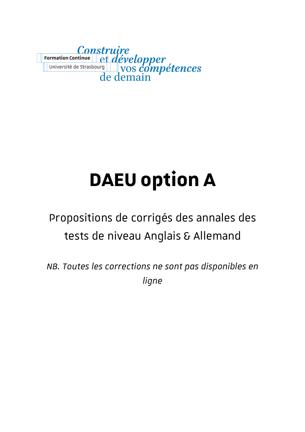

# **DAEU option A**

# Propositions de corrigés des annales des tests de niveau Anglais & Allemand

*NB. Toutes les corrections ne sont pas disponibles en ligne*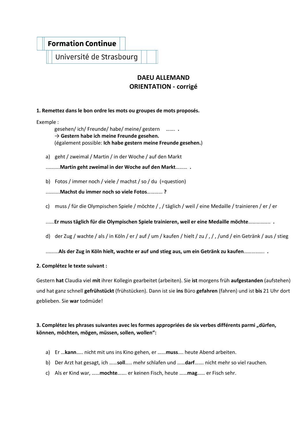# **Formation Continue**

Université de Strasbourg

# **DAEU ALLEMAND ORIENTATION - corrigé**

#### **1. Remettez dans le bon ordre les mots ou groupes de mots proposés.**

Exemple :

gesehen/ ich/ Freunde/ habe/ meine/ gestern ……. **.** → **Gestern habe ich meine Freunde gesehen.** (également possible: **Ich habe gestern meine Freunde gesehen.**)

a) geht / zweimal / Martin / in der Woche / auf den Markt

..........**Martin geht zweimal in der Woche auf den Markt**……… **.**

b) Fotos / immer noch / viele / machst / so / du (=question)

..........**Machst du immer noch so viele Fotos**………… **?**

c) muss / für die Olympischen Spiele / möchte / , / täglich / weil / eine Medaille / trainieren / er / er

......**Er muss täglich für die Olympischen Spiele trainieren, weil er eine Medaille möchte**…………….. **.**

d) der Zug / wachte / als / in Köln / er / auf / um / kaufen / hielt / zu / , / , /und / ein Getränk / aus / stieg

.........**Als der Zug in Köln hielt, wachte er auf und stieg aus, um ein Getränk zu kaufen**……………. **.**

#### **2. Complétez le texte suivant :**

Gestern **hat** Claudia viel **mit** ihrer Kollegin gearbeitet (arbeiten). Sie **ist** morgens früh **aufgestanden** (aufstehen) und hat ganz schnell **gefrühstückt** (frühstücken). Dann ist sie **ins** Büro **gefahren** (fahren) und ist **bis** 21 Uhr dort geblieben. Sie **war** todmüde!

#### **3. Complétez les phrases suivantes avec les formes appropriées de six verbes différents parmi "dürfen, können, möchten, mögen, müssen, sollen, wollen":**

- a) Er …**kann**….. nicht mit uns ins Kino gehen, er …...**muss**.... heute Abend arbeiten.
- b) Der Arzt hat gesagt, ich ……**soll**….. mehr schlafen und ……**darf**……. nicht mehr so viel rauchen.
- c) Als er Kind war, ……**mochte**……. er keinen Fisch, heute ……**mag**…… er Fisch sehr.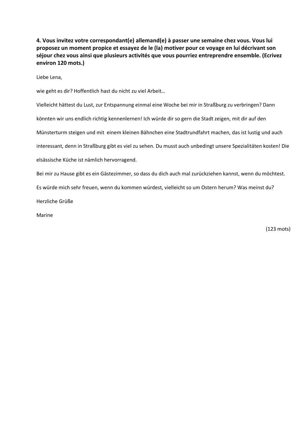**4. Vous invitez votre correspondant(e) allemand(e) à passer une semaine chez vous. Vous lui proposez un moment propice et essayez de le (la) motiver pour ce voyage en lui décrivant son séjour chez vous ainsi que plusieurs activités que vous pourriez entreprendre ensemble. (Ecrivez environ 120 mots.)**

Liebe Lena,

wie geht es dir? Hoffentlich hast du nicht zu viel Arbeit…

Vielleicht hättest du Lust, zur Entspannung einmal eine Woche bei mir in Straßburg zu verbringen? Dann könnten wir uns endlich richtig kennenlernen! Ich würde dir so gern die Stadt zeigen, mit dir auf den Münsterturm steigen und mit einem kleinen Bähnchen eine Stadtrundfahrt machen, das ist lustig und auch interessant, denn in Straßburg gibt es viel zu sehen. Du musst auch unbedingt unsere Spezialitäten kosten! Die elsässische Küche ist nämlich hervorragend. Bei mir zu Hause gibt es ein Gästezimmer, so dass du dich auch mal zurückziehen kannst, wenn du möchtest.

Es würde mich sehr freuen, wenn du kommen würdest, vielleicht so um Ostern herum? Was meinst du?

Herzliche Grüße

Marine

(123 mots)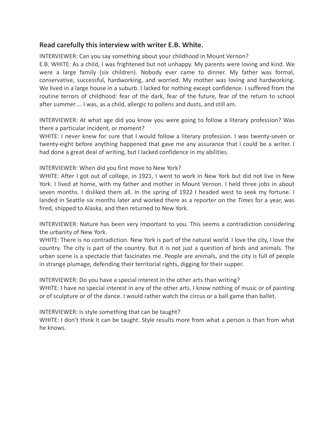#### **Read carefully this interview with writer E.B. White.**

INTERVIEWER: Can you say something about your childhood in Mount Vernon?

E.B. WHITE: As a child, I was frightened but not unhappy. My parents were loving and kind. We were a large family (six children). Nobody ever came to dinner. My father was formal, conservative, successful, hardworking, and worried. My mother was loving and hardworking. We lived in a large house in a suburb. I lacked for nothing except confidence. I suffered from the routine terrors of childhood: fear of the dark, fear of the future, fear of the return to school after summer…. I was, as a child, allergic to pollens and dusts, and still am.

INTERVIEWER: At what age did you know you were going to follow a literary profession? Was there a particular incident, or moment?

WHITE: I never knew for sure that I would follow a literary profession. I was twenty-seven or twenty-eight before anything happened that gave me any assurance that I could be a writer. I had done a great deal of writing, but I lacked confidence in my abilities.

INTERVIEWER: When did you first move to New York?

WHITE: After I got out of college, in 1921, I went to work in New York but did not live in New York. I lived at home, with my father and mother in Mount Vernon. I held three jobs in about seven months. I disliked them all. In the spring of 1922 I headed west to seek my fortune. I landed in Seattle six months later and worked there as a reporter on the *Times* for a year, was fired, shipped to Alaska, and then returned to New York.

INTERVIEWER: Nature has been very important to you. This seems a contradiction considering the urbanity of New York.

WHITE: There is no contradiction. New York is part of the natural world. I love the city, I love the country. The city is part of the country. But it is not just a question of birds and animals. The urban scene is a spectacle that fascinates me. People are animals, and the city is full of people in strange plumage, defending their territorial rights, digging for their supper.

INTERVIEWER: Do you have a special interest in the other arts than writing? WHITE: I have no special interest in any of the other arts. I know nothing of music or of painting or of sculpture or of the dance. I would rather watch the circus or a ball game than ballet.

INTERVIEWER: Is style something that can be taught?

WHITE: I don't think it can be taught. Style results more from what a person is than from what he knows.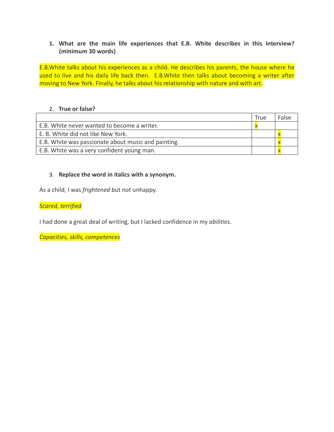#### **1. What are the main life experiences that E.B. White describes in this interview? (minimum 30 words)**

E.B.White talks about his experiences as a child. He describes his parents, the house where he used to live and his daily life back then. E.B.White then talks about becoming a writer after moving to New York. Finally, he talks about his relationship with nature and with art.

#### 2. **True or false?**

|                                                     | <b>True</b> | False |
|-----------------------------------------------------|-------------|-------|
| E.B. White never wanted to become a writer.         |             |       |
| E. B. White did not like New York.                  |             |       |
| E.B. White was passionate about music and painting. |             |       |
| E.B. White was a very confident young man.          |             |       |

#### 3. **Replace the word in italics with a synonym.**

As a child, I was *frightened* but not unhappy.

*Scared, terrified*

I had done a great deal of writing, but I lacked confidence in my *abilities*.

*Capacities, skills, competences*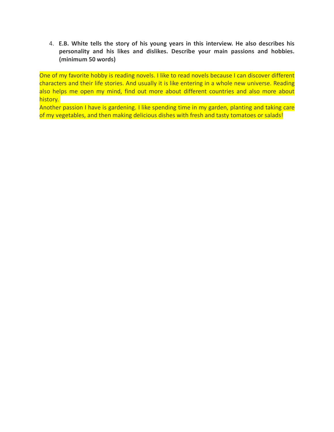4. **E.B. White tells the story of his young years in this interview. He also describes his personality and his likes and dislikes. Describe your main passions and hobbies. (minimum 50 words)**

One of my favorite hobby is reading novels. I like to read novels because I can discover different characters and their life stories. And usually it is like entering in a whole new universe. Reading also helps me open my mind, find out more about different countries and also more about history.

Another passion I have is gardening. I like spending time in my garden, planting and taking care of my vegetables, and then making delicious dishes with fresh and tasty tomatoes or salads!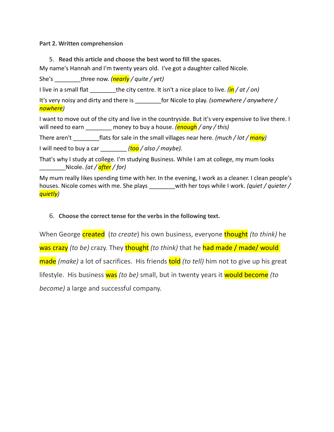**Part 2. Written comprehension**

5. **Read this article and choose the best word to fill the spaces.** 

My name's Hannah and I'm twenty years old. I've got a daughter called Nicole.

She's \_\_\_\_\_\_\_\_three now. *(nearly / quite / yet)*

I live in a small flat \_\_\_\_\_\_\_\_the city centre. It isn't a nice place to live. *(in / at / on)*

It's very noisy and dirty and there is \_\_\_\_\_\_\_\_for Nicole to play. *(somewhere / anywhere / nowhere)*

I want to move out of the city and live in the countryside. But it's very expensive to live there. I will need to earn \_\_\_\_\_\_\_\_ money to buy a house. *(enough / any / this)*

There aren't flats for sale in the small villages near here. *(much / lot / many)* 

I will need to buy a car \_\_\_\_\_\_\_\_ *(too / also / maybe).*

That's why I study at college. I'm studying Business. While I am at college, my mum looks \_\_\_\_\_\_\_\_Nicole. *(at / after / for)*

My mum really likes spending time with her. In the evening, I work as a cleaner. I clean people's houses. Nicole comes with me. She plays \_\_\_\_\_\_\_\_with her toys while I work. *(quiet / quieter / quietly)*

#### 6. **Choose the correct tense for the verbs in the following text.**

When George **created** (*to create*) his own business, everyone **thought** *(to think)* he was crazy *(to be)* crazy. They **thought** *(to think)* that he had made / made/ would made *(make)* a lot of sacrifices. His friends told *(to tell)* him not to give up his great lifestyle. His business was *(to be)* small, but in twenty years it would become *(to become)* a large and successful company.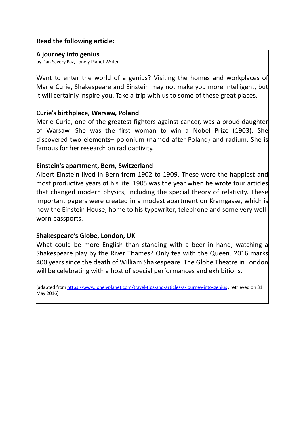#### **Read the following article:**

#### **A journey into genius**

by Dan Savery Paz, Lonely Planet Writer

Want to enter the world of a genius? Visiting the homes and workplaces of Marie Curie, Shakespeare and Einstein may not make you more intelligent, but it will certainly inspire you. Take a trip with us to some of these great places.

# **Curie's birthplace, Warsaw, Poland**

Marie Curie, one of the greatest fighters against cancer, was a proud daughter of Warsaw. She was the first woman to win a Nobel Prize (1903). She discovered two elements– polonium (named after Poland) and radium. She is famous for her research on radioactivity.

# **Einstein's apartment, Bern, Switzerland**

Albert Einstein lived in Bern from 1902 to 1909. These were the happiest and most productive years of his life. 1905 was the year when he wrote four articles that changed modern physics, including the special theory of relativity. These important papers were created in a modest apartment on Kramgasse, which is now the Einstein House, home to his typewriter, telephone and some very wellworn passports.

# **Shakespeare's Globe, London, UK**

What could be more English than standing with a beer in hand, watching a Shakespeare play by the River Thames? Only tea with the Queen. 2016 marks 400 years since the death of William Shakespeare. The Globe Theatre in London will be celebrating with a host of special performances and exhibitions.

(adapted from https://www.lonelyplanet.com/travel-tips-and-articles/a-journey-into-genius , retrieved on 31 May 2016)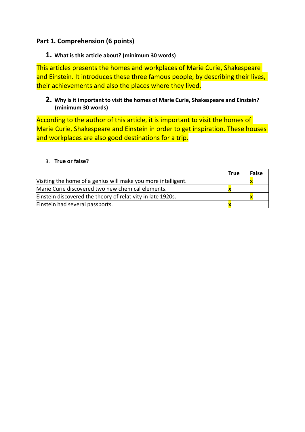# **Part 1. Comprehension (6 points)**

#### **1. What is this article about? (minimum 30 words)**

This articles presents the homes and workplaces of Marie Curie, Shakespeare and Einstein. It introduces these three famous people, by describing their lives, their achievements and also the places where they lived.

### **2. Why is it important to visit the homes of Marie Curie, Shakespeare and Einstein? (minimum 30 words)**

According to the author of this article, it is important to visit the homes of Marie Curie, Shakespeare and Einstein in order to get inspiration. These houses and workplaces are also good destinations for a trip.

#### 3. **True or false?**

|                                                               | <b>True</b> | <b>False</b> |
|---------------------------------------------------------------|-------------|--------------|
| Visiting the home of a genius will make you more intelligent. |             |              |
| Marie Curie discovered two new chemical elements.             |             |              |
| Einstein discovered the theory of relativity in late 1920s.   |             |              |
| Einstein had several passports.                               |             |              |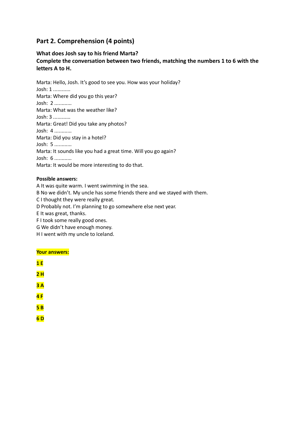# **Part 2. Comprehension (4 points)**

#### **What does Josh say to his friend Marta?**

**Complete the conversation between two friends, matching the numbers 1 to 6 with the letters A to H.** 

Marta: Hello, Josh. It's good to see you. How was your holiday? Josh: 1 ............ Marta: Where did you go this year? Josh: 2 ............ Marta: What was the weather like? Josh: 3 ............ Marta: Great! Did you take any photos? Josh: 4 ............ Marta: Did you stay in a hotel? Josh: 5 ............ Marta: It sounds like you had a great time. Will you go again? Josh: 6 ............ Marta: It would be more interesting to do that.

#### **Possible answers:**

A It was quite warm. I went swimming in the sea. B No we didn't. My uncle has some friends there and we stayed with them. C I thought they were really great. D Probably not. I'm planning to go somewhere else next year. E It was great, thanks. F I took some really good ones. G We didn't have enough money. H I went with my uncle to Iceland.

#### **Your answers:**

| 1E  |  |  |
|-----|--|--|
| 2 H |  |  |
| 3A  |  |  |
| 4F  |  |  |
| 5B  |  |  |
| 6D  |  |  |